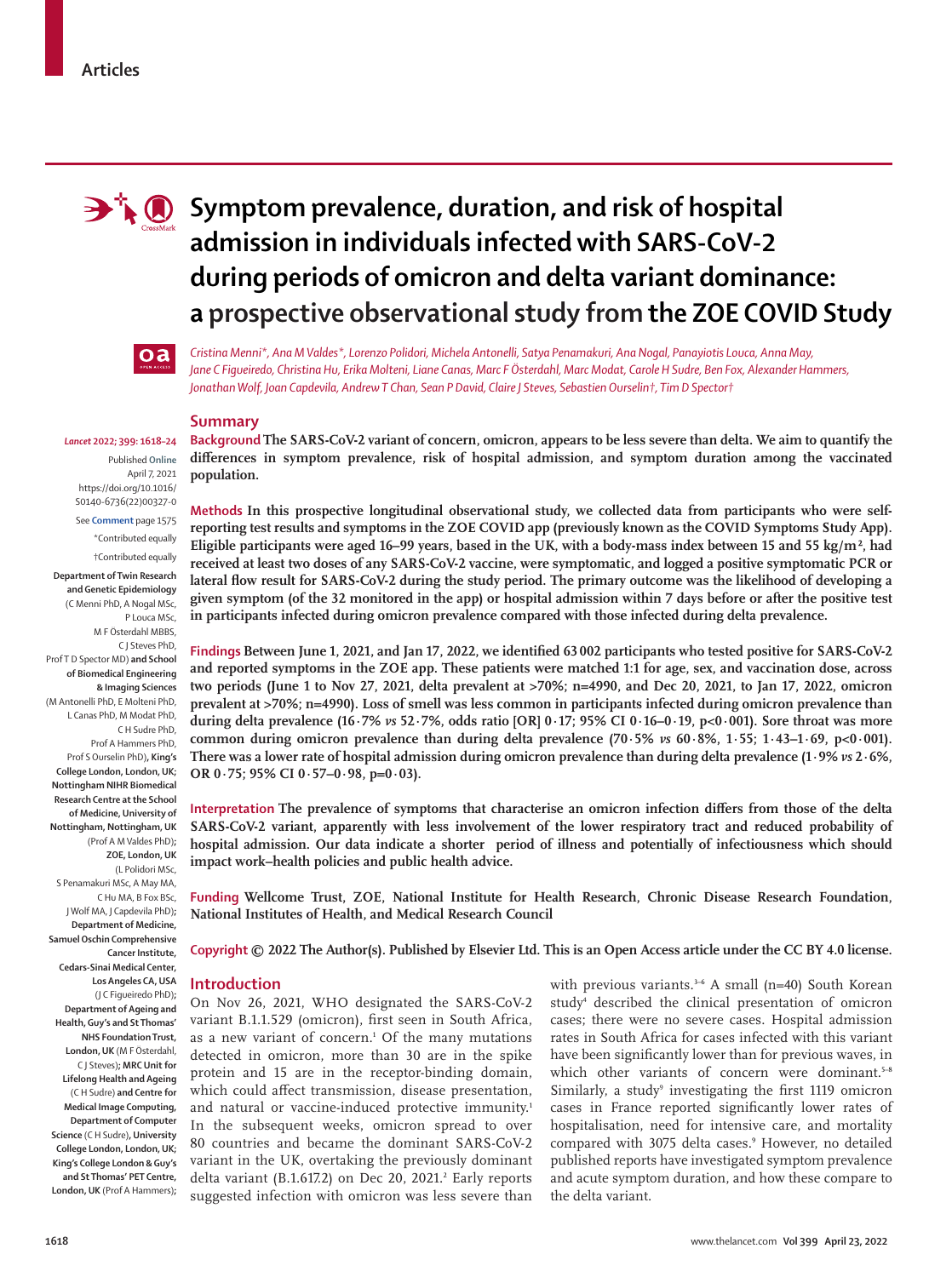

# **FO** Symptom prevalence, duration, and risk of hospital **admission in individuals infected with SARS-CoV-2 during periods of omicron and delta variant dominance: a prospective observational study from the ZOE COVID Study**



P Louca MSc, M F Österdahl MBBS, C J Steves PhD,

Prof T D Spector MD) **and School of Biomedical Engineering & Imaging Sciences**  (M Antonelli PhD, E Molteni PhD, L Canas PhD, M Modat PhD, C H Sudre PhD, Prof A Hammers PhD, Prof S Ourselin PhD)**, King's College London, London, UK; Nottingham NIHR Biomedical Research Centre at the School of Medicine, University of Nottingham, Nottingham, UK**  (Prof A M Valdes PhD)**; ZOE, London, UK**  (L Polidori MSc,

S Penamakuri MSc, A May MA, C Hu MA, B Fox BSc, J Wolf MA, J Capdevila PhD)**; Department of Medicine, Samuel Oschin Comprehensive** 

**Cancer Institute, Cedars-Sinai Medical Center, Los Angeles CA, USA**  (J C Figueiredo PhD)**; Department of Ageing and Health, Guy's and St Thomas' NHS Foundation Trust, London, UK** (M F Österdahl, C J Steves)**; MRC Unit for Lifelong Health and Ageing** (C H Sudre) **and Centre for Medical Image Computing, Department of Computer Science** (C H Sudre)**, University College London, London, UK; King's College London & Guy's and St Thomas' PET Centre, London, UK** (Prof A Hammers)**;** 

*Lancet* **2022; 399: 1618–24** Published **Online** April 7, 2021 https://doi.org/10.1016/ S0140-6736(22)00327-0 See **Comment** page 1575 \*Contributed equally †Contributed equally **Department of Twin Research and Genetic Epidemiology**  (C Menni PhD, A Nogal MSc,

*Cristina Menni\*, Ana M Valdes\*, Lorenzo Polidori, Michela Antonelli, Satya Penamakuri, Ana Nogal, Panayiotis Louca, Anna May, Jane C Figueiredo, Christina Hu, Erika Molteni, Liane Canas, Marc F Österdahl, Marc Modat, Carole H Sudre, Ben Fox, Alexander Hammers, Jonathan Wolf, Joan Capdevila, Andrew T Chan, Sean P David, Claire J Steves, Sebastien Ourselin†, Tim D Spector†*

## **Summary**

**Background The SARS-CoV-2 variant of concern, omicron, appears to be less severe than delta. We aim to quantify the differences in symptom prevalence, risk of hospital admission, and symptom duration among the vaccinated population.**

**Methods In this prospective longitudinal observational study, we collected data from participants who were selfreporting test results and symptoms in the ZOE COVID app (previously known as the COVID Symptoms Study App). Eligible participants were aged 16–99 years, based in the UK, with a body-mass index between 15 and 55 kg/m², had received at least two doses of any SARS-CoV-2 vaccine, were symptomatic, and logged a positive symptomatic PCR or lateral flow result for SARS-CoV-2 during the study period. The primary outcome was the likelihood of developing a given symptom (of the 32 monitored in the app) or hospital admission within 7 days before or after the positive test in participants infected during omicron prevalence compared with those infected during delta prevalence.**

**Findings Between June 1, 2021, and Jan 17, 2022, we identified 63 002 participants who tested positive for SARS-CoV-2 and reported symptoms in the ZOE app. These patients were matched 1:1 for age, sex, and vaccination dose, across two periods (June 1 to Nov 27, 2021, delta prevalent at >70%; n=4990, and Dec 20, 2021, to Jan 17, 2022, omicron prevalent at >70%; n=4990). Loss of smell was less common in participants infected during omicron prevalence than during delta prevalence (16·7%** *vs* **52·7%, odds ratio [OR] 0·17; 95% CI 0·16–0·19, p<0·001). Sore throat was more common during omicron prevalence than during delta prevalence (70·5%** *vs* **60·8%, 1·55; 1·43–1·69, p<0·001). There was a lower rate of hospital admission during omicron prevalence than during delta prevalence (1·9%** *vs* **2·6%, OR 0·75; 95% CI 0·57–0·98, p=0·03).**

**Interpretation The prevalence of symptoms that characterise an omicron infection differs from those of the delta SARS-CoV-2 variant, apparently with less involvement of the lower respiratory tract and reduced probability of hospital admission. Our data indicate a shorter period of illness and potentially of infectiousness which should impact work–health policies and public health advice.**

**Funding Wellcome Trust, ZOE, National Institute for Health Research, Chronic Disease Research Foundation, National Institutes of Health, and Medical Research Council**

**Copyright © 2022 The Author(s). Published by Elsevier Ltd. This is an Open Access article under the CC BY 4.0 license.**

## **Introduction**

On Nov 26, 2021, WHO designated the SARS-CoV-2 variant B.1.1.529 (omicron), first seen in South Africa, as a new variant of concern.<sup>1</sup> Of the many mutations detected in omicron, more than 30 are in the spike protein and 15 are in the receptor-binding domain, which could affect transmission, disease presentation, and natural or vaccine-induced protective immunity.<sup>1</sup> In the subsequent weeks, omicron spread to over 80 countries and became the dominant SARS-CoV-2 variant in the UK, overtaking the previously dominant delta variant (B.1.617.2) on Dec 20, 2021.<sup>2</sup> Early reports suggested infection with omicron was less severe than

with previous variants.<sup>3-6</sup> A small (n=40) South Korean study<sup>4</sup> described the clinical presentation of omicron cases; there were no severe cases. Hospital admission rates in South Africa for cases infected with this variant have been significantly lower than for previous waves, in which other variants of concern were dominant.<sup>5-8</sup> Similarly, a study<sup>9</sup> investigating the first 1119 omicron cases in France reported significantly lower rates of hospitalisation, need for intensive care, and mortality compared with 3075 delta cases.<sup>9</sup> However, no detailed published reports have investigated symptom prevalence and acute symptom duration, and how these compare to the delta variant.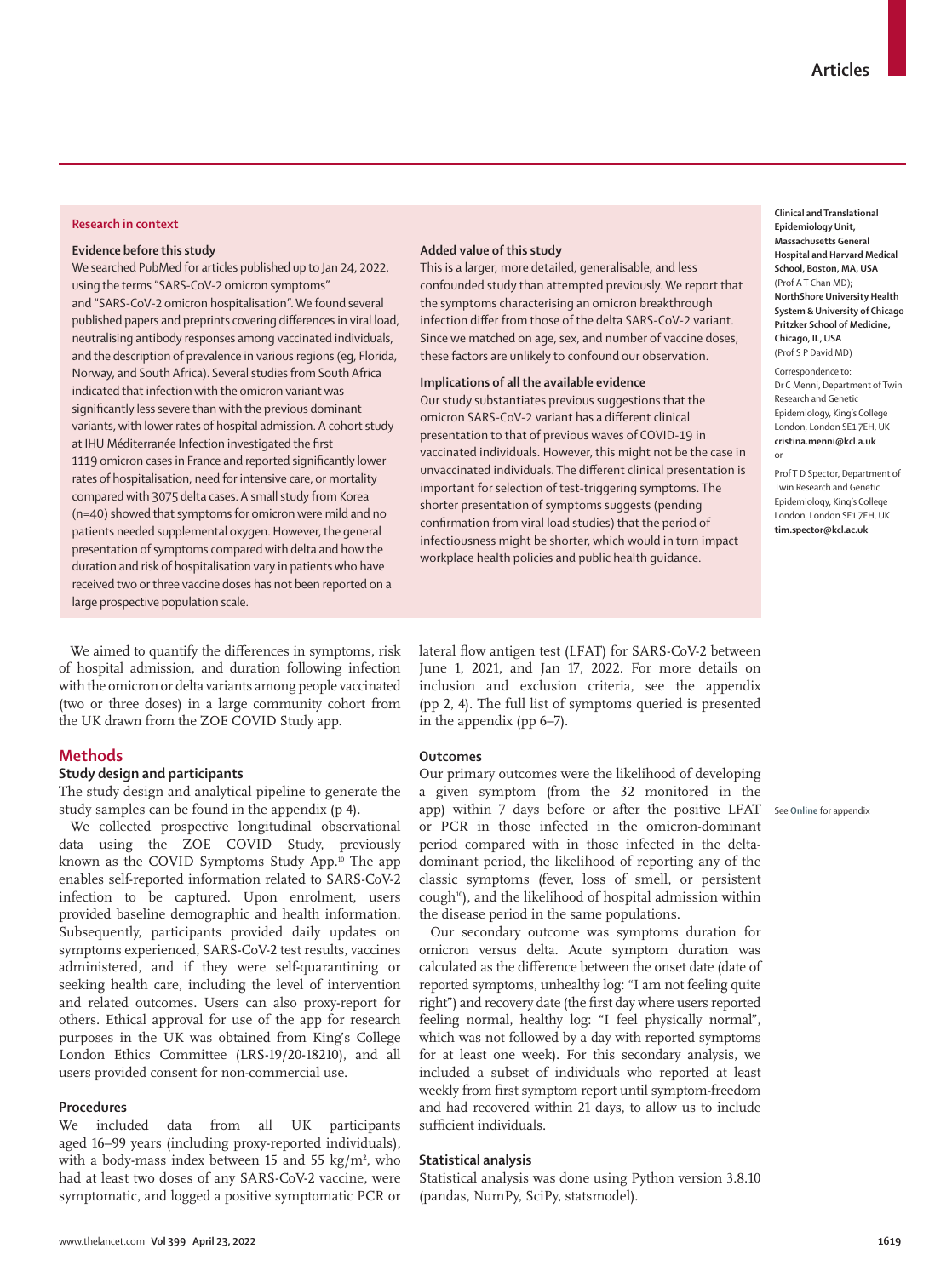#### **Research in context**

#### **Evidence before this study**

We searched PubMed for articles published up to Jan 24, 2022, using the terms "SARS-CoV-2 omicron symptoms" and "SARS-CoV-2 omicron hospitalisation". We found several published papers and preprints covering differences in viral load, neutralising antibody responses among vaccinated individuals, and the description of prevalence in various regions (eg, Florida, Norway, and South Africa). Several studies from South Africa indicated that infection with the omicron variant was significantly less severe than with the previous dominant variants, with lower rates of hospital admission. A cohort study at IHU Méditerranée Infection investigated the first 1119 omicron cases in France and reported significantly lower rates of hospitalisation, need for intensive care, or mortality compared with 3075 delta cases. A small study from Korea (n=40) showed that symptoms for omicron were mild and no patients needed supplemental oxygen. However, the general presentation of symptoms compared with delta and how the duration and risk of hospitalisation vary in patients who have received two or three vaccine doses has not been reported on a large prospective population scale.

We aimed to quantify the differences in symptoms, risk of hospital admission, and duration following infection with the omicron or delta variants among people vaccinated (two or three doses) in a large community cohort from the UK drawn from the ZOE COVID Study app.

# **Methods**

# **Study design and participants**

The study design and analytical pipeline to generate the study samples can be found in the appendix (p 4).

We collected prospective longitudinal observational data using the ZOE COVID Study, previously known as the COVID Symptoms Study App.<sup>10</sup> The app enables self-reported information related to SARS-CoV-2 infection to be captured. Upon enrolment, users provided baseline demographic and health information. Subsequently, participants provided daily updates on symptoms experienced, SARS-CoV-2 test results, vaccines administered, and if they were self-quarantining or seeking health care, including the level of intervention and related outcomes. Users can also proxy-report for others. Ethical approval for use of the app for research purposes in the UK was obtained from King's College London Ethics Committee (LRS-19/20-18210), and all users provided consent for non-commercial use.

#### **Procedures**

We included data from all UK participants aged 16–99 years (including proxy-reported individuals), with a body-mass index between 15 and 55 kg/m**<sup>2</sup>** , who had at least two doses of any SARS-CoV-2 vaccine, were symptomatic, and logged a positive symptomatic PCR or

#### **Added value of this study**

This is a larger, more detailed, generalisable, and less confounded study than attempted previously. We report that the symptoms characterising an omicron breakthrough infection differ from those of the delta SARS-CoV-2 variant. Since we matched on age, sex, and number of vaccine doses, these factors are unlikely to confound our observation.

### **Implications of all the available evidence**

Our study substantiates previous suggestions that the omicron SARS-CoV-2 variant has a different clinical presentation to that of previous waves of COVID-19 in vaccinated individuals. However, this might not be the case in unvaccinated individuals. The different clinical presentation is important for selection of test-triggering symptoms. The shorter presentation of symptoms suggests (pending confirmation from viral load studies) that the period of infectiousness might be shorter, which would in turn impact workplace health policies and public health guidance.

**Clinical and Translational Epidemiology Unit, Massachusetts General Hospital and Harvard Medical School, Boston, MA, USA** (Prof A T Chan MD)**; NorthShore University Health System & University of Chicago Pritzker School of Medicine, Chicago, IL, USA** (Prof S P David MD)

Correspondence to: Dr C Menni, Department of Twin Research and Genetic Epidemiology, King's College London, London SE1 7EH, UK **cristina.menni@kcl.a.uk** or

Prof T D Spector, Department of Twin Research and Genetic Epidemiology, King's College London, London SE1 7EH, UK **tim.spector@kcl.ac.uk**

See **Online** for appendix

lateral flow antigen test (LFAT) for SARS-CoV-2 between June 1, 2021, and Jan 17, 2022. For more details on inclusion and exclusion criteria, see the appendix (pp 2, 4). The full list of symptoms queried is presented in the appendix (pp 6–7).

#### **Outcomes**

Our primary outcomes were the likelihood of developing a given symptom (from the 32 monitored in the app) within 7 days before or after the positive LFAT or PCR in those infected in the omicron-dominant period compared with in those infected in the deltadominant period, the likelihood of reporting any of the classic symptoms (fever, loss of smell, or persistent cough<sup>10</sup>), and the likelihood of hospital admission within the disease period in the same populations.

Our secondary outcome was symptoms duration for omicron versus delta. Acute symptom duration was calculated as the difference between the onset date (date of reported symptoms, unhealthy log: "I am not feeling quite right") and recovery date (the first day where users reported feeling normal, healthy log: "I feel physically normal", which was not followed by a day with reported symptoms for at least one week). For this secondary analysis, we included a subset of individuals who reported at least weekly from first symptom report until symptom-freedom and had recovered within 21 days, to allow us to include sufficient individuals.

#### **Statistical analysis**

Statistical analysis was done using Python version 3.8.10 (pandas, NumPy, SciPy, statsmodel).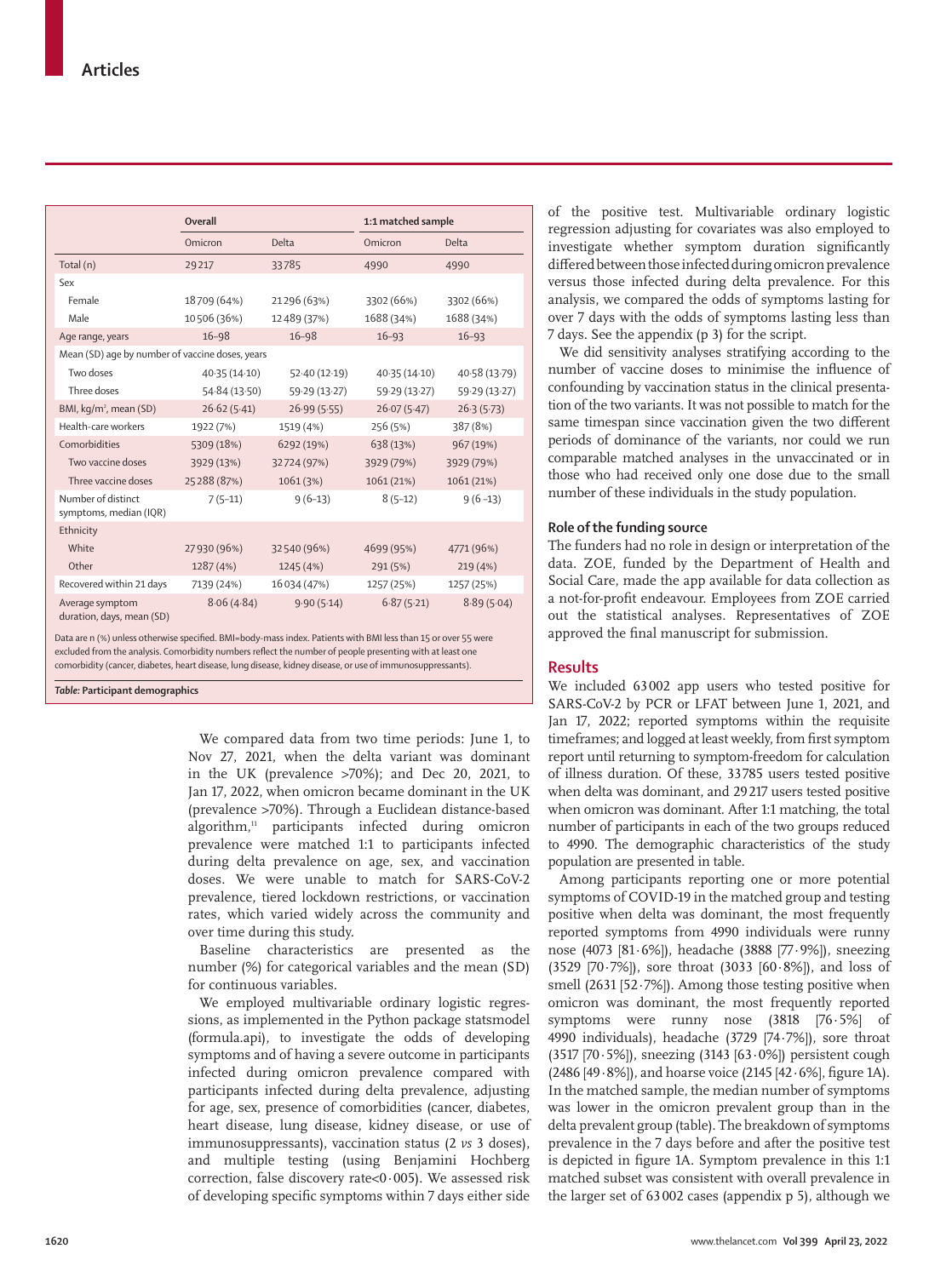|                                                 | <b>Overall</b> |               | 1:1 matched sample |               |
|-------------------------------------------------|----------------|---------------|--------------------|---------------|
|                                                 | Omicron        | <b>Delta</b>  | Omicron            | Delta         |
| Total (n)                                       | 29217          | 33785         | 4990               | 4990          |
| Sex                                             |                |               |                    |               |
| Female                                          | 18709 (64%)    | 21296 (63%)   | 3302 (66%)         | 3302 (66%)    |
| Male                                            | 10506 (36%)    | 12489 (37%)   | 1688 (34%)         | 1688 (34%)    |
| Age range, years                                | $16 - 98$      | $16 - 98$     | $16 - 93$          | $16 - 93$     |
| Mean (SD) age by number of vaccine doses, years |                |               |                    |               |
| Two doses                                       | 40.35 (14.10)  | 52.40(12.19)  | 40.35 (14.10)      | 40.58 (13.79) |
| Three doses                                     | 54.84 (13.50)  | 59.29 (13.27) | 59.29 (13.27)      | 59.29 (13.27) |
| BMI, kg/m <sup>2</sup> , mean (SD)              | 26.62(5.41)    | 26.99(5.55)   | 26.07(5.47)        | 26.3(5.73)    |
| Health-care workers                             | 1922 (7%)      | 1519 (4%)     | 256 (5%)           | 387 (8%)      |
| Comorbidities                                   | 5309 (18%)     | 6292 (19%)    | 638 (13%)          | 967 (19%)     |
| Two vaccine doses                               | 3929 (13%)     | 32724 (97%)   | 3929 (79%)         | 3929 (79%)    |
| Three vaccine doses                             | 25288 (87%)    | 1061 (3%)     | 1061 (21%)         | 1061 (21%)    |
| Number of distinct<br>symptoms, median (IQR)    | $7(5-11)$      | $9(6-13)$     | $8(5-12)$          | $9(6-13)$     |
| Ethnicity                                       |                |               |                    |               |
| White                                           | 27930 (96%)    | 32540 (96%)   | 4699 (95%)         | 4771 (96%)    |
| Other                                           | 1287 (4%)      | 1245 (4%)     | 291 (5%)           | 219 (4%)      |
| Recovered within 21 days                        | 7139 (24%)     | 16 034 (47%)  | 1257 (25%)         | 1257 (25%)    |
| Average symptom<br>duration, days, mean (SD)    | 8.06(4.84)     | 9.90(5.14)    | 6.87(5.21)         | 8.89(5.04)    |

Data are n (%) unless otherwise specified. BMI=body-mass index. Patients with BMI less than 15 or over 55 were excluded from the analysis. Comorbidity numbers reflect the number of people presenting with at least one comorbidity (cancer, diabetes, heart disease, lung disease, kidney disease, or use of immunosuppressants).

*Table:* **Participant demographics**

We compared data from two time periods: June 1, to Nov 27, 2021, when the delta variant was dominant in the UK (prevalence >70%); and Dec 20, 2021, to Jan 17, 2022, when omicron became dominant in the UK (prevalence >70%). Through a Euclidean distance-based algorithm,<sup>11</sup> participants infected during omicron prevalence were matched 1:1 to participants infected during delta prevalence on age, sex, and vaccination doses. We were unable to match for SARS-CoV-2 prevalence, tiered lockdown restrictions, or vaccination rates, which varied widely across the community and over time during this study.

Baseline characteristics are presented as the number (%) for categorical variables and the mean (SD) for continuous variables.

We employed multivariable ordinary logistic regressions, as implemented in the Python package statsmodel (formula.api), to investigate the odds of developing symptoms and of having a severe outcome in participants infected during omicron prevalence compared with participants infected during delta prevalence, adjusting for age, sex, presence of comorbidities (cancer, diabetes, heart disease, lung disease, kidney disease, or use of immunosuppressants), vaccination status (2 *vs* 3 doses), and multiple testing (using Benjamini Hochberg correction, false discovery rate<0·005). We assessed risk of developing specific symptoms within 7 days either side

of the positive test. Multivariable ordinary logistic regression adjusting for covariates was also employed to investigate whether symptom duration significantly differed between those infected during omicron prevalence versus those infected during delta prevalence. For this analysis, we compared the odds of symptoms lasting for over 7 days with the odds of symptoms lasting less than 7 days. See the appendix (p 3) for the script.

We did sensitivity analyses stratifying according to the number of vaccine doses to minimise the influence of confounding by vaccination status in the clinical presentation of the two variants. It was not possible to match for the same timespan since vaccination given the two different periods of dominance of the variants, nor could we run comparable matched analyses in the unvaccinated or in those who had received only one dose due to the small number of these individuals in the study population.

## **Role of the funding source**

The funders had no role in design or interpretation of the data. ZOE, funded by the Department of Health and Social Care, made the app available for data collection as a not-for-profit endeavour. Employees from ZOE carried out the statistical analyses. Representatives of ZOE approved the final manuscript for submission.

# **Results**

We included 63002 app users who tested positive for SARS-CoV-2 by PCR or LFAT between June 1, 2021, and Jan 17, 2022; reported symptoms within the requisite timeframes; and logged at least weekly, from first symptom report until returning to symptom-freedom for calculation of illness duration. Of these, 33785 users tested positive when delta was dominant, and 29217 users tested positive when omicron was dominant. After 1:1 matching, the total number of participants in each of the two groups reduced to 4990. The demographic characteristics of the study population are presented in table.

Among participants reporting one or more potential symptoms of COVID-19 in the matched group and testing positive when delta was dominant, the most frequently reported symptoms from 4990 individuals were runny nose (4073 [81·6%]), headache (3888 [77·9%]), sneezing (3529 [70·7%]), sore throat (3033 [60·8%]), and loss of smell (2631 [52·7%]). Among those testing positive when omicron was dominant, the most frequently reported symptoms were runny nose (3818 [76·5%] of 4990 individuals), headache (3729 [74·7%]), sore throat (3517 [70 $\cdot$ 5%]), sneezing (3143 [63 $\cdot$ 0%]) persistent cough (2486 [49·8%]), and hoarse voice (2145 [42·6%], figure 1A). In the matched sample, the median number of symptoms was lower in the omicron prevalent group than in the delta prevalent group (table). The breakdown of symptoms prevalence in the 7 days before and after the positive test is depicted in figure 1A. Symptom prevalence in this 1:1 matched subset was consistent with overall prevalence in the larger set of 63002 cases (appendix p 5), although we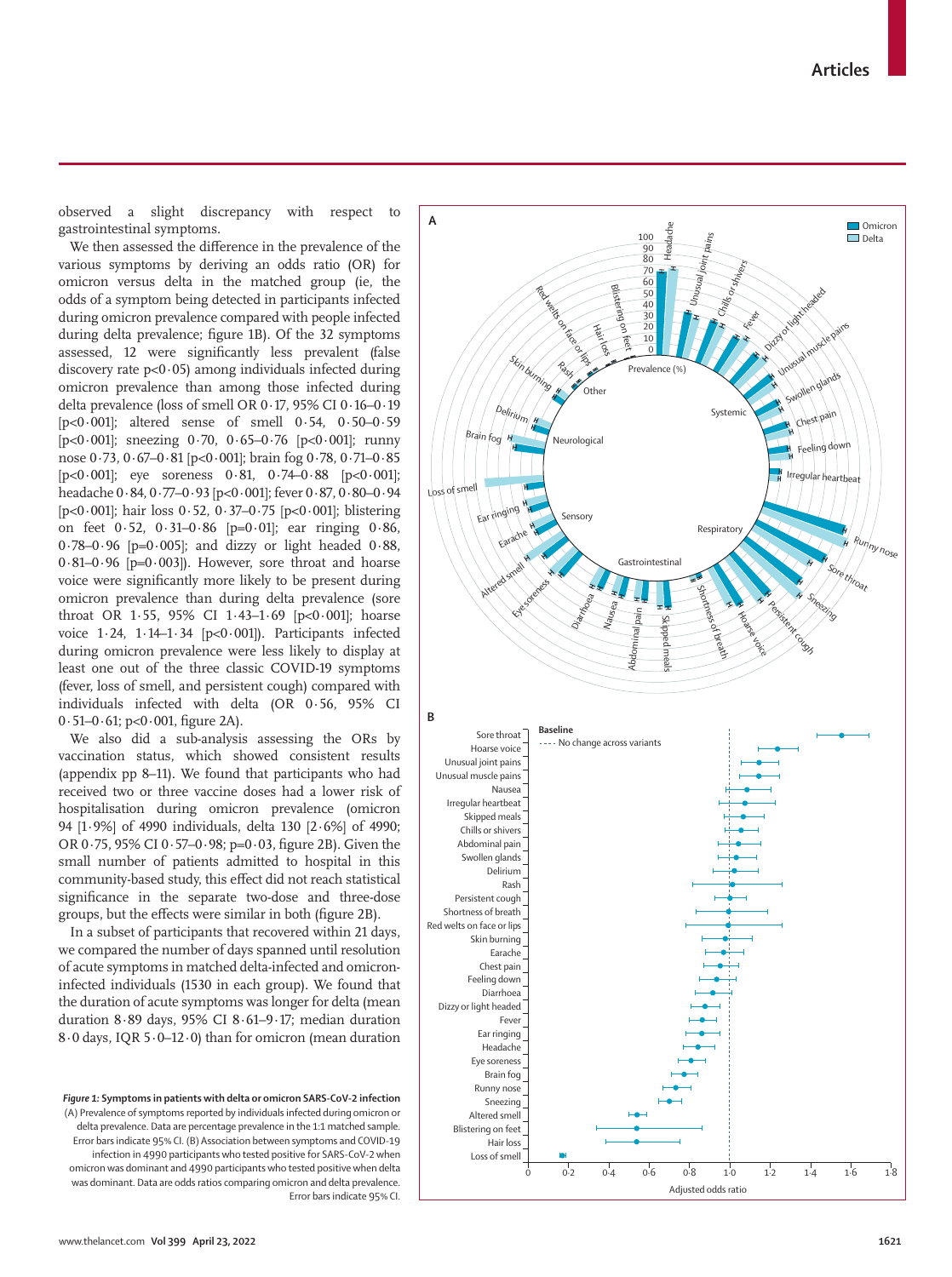www.thelancet.com**Vol 399 April 23, 2022 1621**

observed a slight discrepancy with respect to gastrointestinal symptoms.

We then assessed the difference in the prevalence of the various symptoms by deriving an odds ratio (OR) for omicron versus delta in the matched group (ie, the odds of a symptom being detected in participants infected during omicron prevalence compared with people infected during delta prevalence; figure 1B). Of the 32 symptoms assessed, 12 were significantly less prevalent (false discovery rate  $p<0.05$ ) among individuals infected during omicron prevalence than among those infected during delta prevalence (loss of smell OR 0·17, 95% CI 0·16–0·19 [ $p < 0.001$ ]; altered sense of smell  $0.54$ ,  $0.50-0.59$ [ $p<0.001$ ]; sneezing 0.70, 0.65–0.76 [ $p<0.001$ ]; runny nose 0·73, 0·67–0·81 [p<0·001]; brain fog 0·78, 0·71–0·85 [ $p<0.001$ ]; eye soreness  $0.81$ ,  $0.74-0.88$  [ $p<0.001$ ]; headache 0·84, 0·77–0·93 [p<0·001]; fever 0·87, 0·80–0·94 [ $p < 0.001$ ]; hair loss  $0.52$ ,  $0.37 - 0.75$  [ $p < 0.001$ ]; blistering on feet 0·52, 0·31–0·86 [p=0·01]; ear ringing 0·86,  $0.78-0.96$  [p=0.005]; and dizzy or light headed  $0.88$ ,  $0.81-0.96$  [p= $0.003$ ]). However, sore throat and hoarse voice were significantly more likely to be present during omicron prevalence than during delta prevalence (sore throat OR 1·55, 95% CI 1·43–1·69 [p<0·001]; hoarse voice  $1.24$ ,  $1.14-1.34$  [p<0.001]). Participants infected during omicron prevalence were less likely to display at least one out of the three classic COVID-19 symptoms (fever, loss of smell, and persistent cough) compared with individuals infected with delta (OR 0·56, 95% CI 0·51–0·61; p<0·001, figure 2A).

We also did a sub-analysis assessing the ORs by vaccination status, which showed consistent results (appendix pp 8–11). We found that participants who had received two or three vaccine doses had a lower risk of hospitalisation during omicron prevalence (omicron 94 [1·9%] of 4990 individuals, delta 130 [2·6%] of 4990; OR 0·75, 95% CI 0·57–0·98; p=0·03, figure 2B). Given the small number of patients admitted to hospital in this community-based study, this effect did not reach statistical significance in the separate two-dose and three-dose groups, but the effects were similar in both (figure 2B).

In a subset of participants that recovered within 21 days, we compared the number of days spanned until resolution of acute symptoms in matched delta-infected and omicroninfected individuals (1530 in each group). We found that the duration of acute symptoms was longer for delta (mean duration 8·89 days, 95% CI 8·61–9·17; median duration 8·0 days, IQR 5·0–12·0) than for omicron (mean duration

*Figure 1:* **Symptoms in patients with delta or omicron SARS-CoV-2 infection** (A) Prevalence of symptoms reported by individuals infected during omicron or delta prevalence. Data are percentage prevalence in the 1:1 matched sample. Error bars indicate 95% CI. (B) Association between symptoms and COVID-19 infection in 4990 participants who tested positive for SARS-CoV-2 when omicron was dominant and 4990 participants who tested positive when delta was dominant. Data are odds ratios comparing omicron and delta prevalence. Error bars indicate 95% CI.

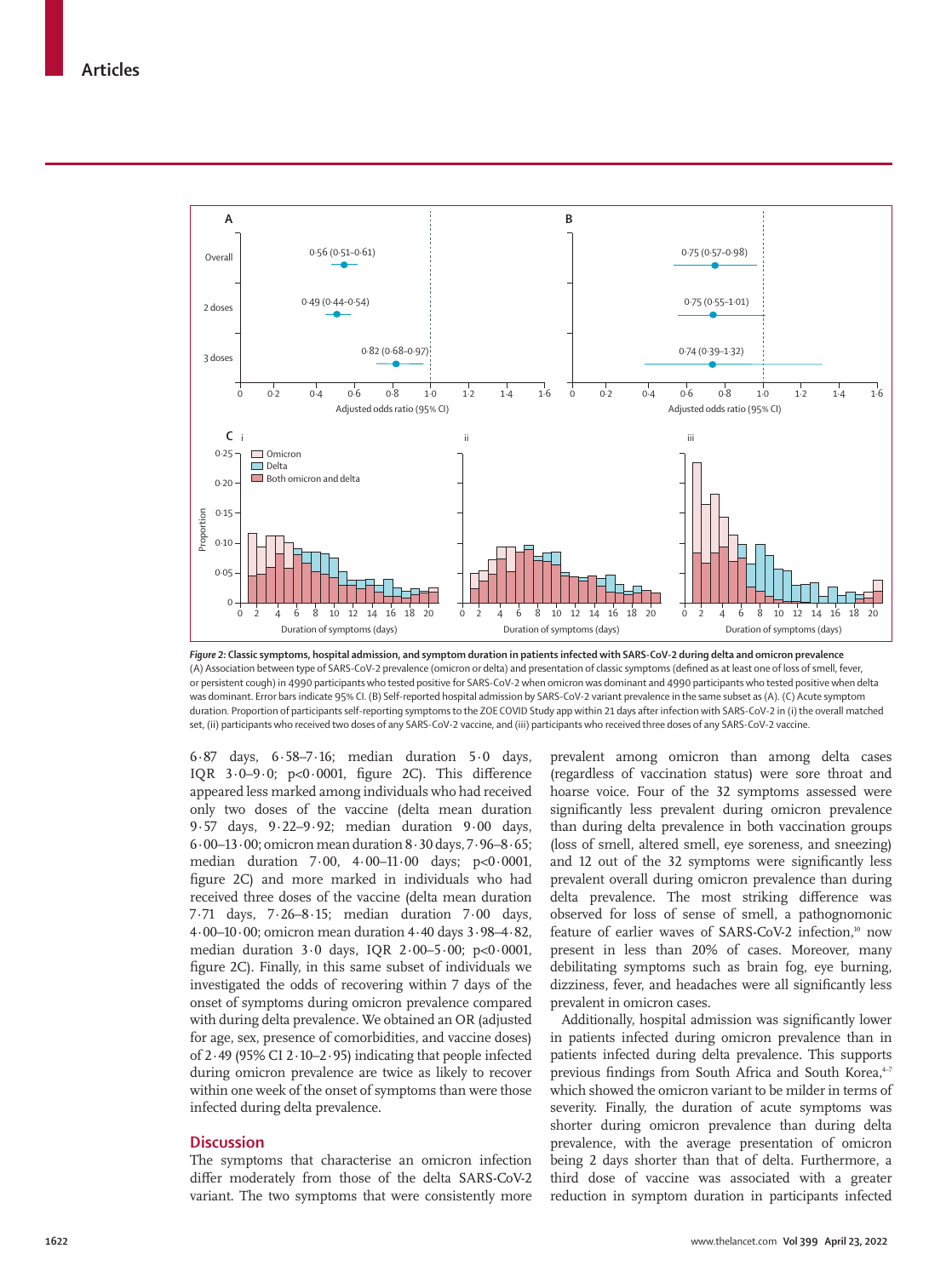

*Figure 2:* **Classic symptoms, hospital admission, and symptom duration in patients infected with SARS-CoV-2 during delta and omicron prevalence** (A) Association between type of SARS-CoV-2 prevalence (omicron or delta) and presentation of classic symptoms (defined as at least one of loss of smell, fever, or persistent cough) in 4990 participants who tested positive for SARS-CoV-2 when omicron was dominant and 4990 participants who tested positive when delta was dominant. Error bars indicate 95% CI. (B) Self-reported hospital admission by SARS-CoV-2 variant prevalence in the same subset as (A). (C) Acute symptom duration. Proportion of participants self-reporting symptoms to the ZOE COVID Study app within 21 days after infection with SARS-CoV-2 in (i) the overall matched set, (ii) participants who received two doses of any SARS-CoV-2 vaccine, and (iii) participants who received three doses of any SARS-CoV-2 vaccine.

6·87 days, 6·58–7·16; median duration 5·0 days, IQR 3·0–9·0; p<0·0001, figure 2C). This difference appeared less marked among individuals who had received only two doses of the vaccine (delta mean duration 9·57 days, 9·22–9·92; median duration 9·00 days, 6·00–13·00; omicron mean duration 8·30 days, 7·96–8·65; median duration 7·00, 4·00–11·00 days; p<0·0001, figure 2C) and more marked in individuals who had received three doses of the vaccine (delta mean duration 7·71 days, 7·26–8·15; median duration 7·00 days, 4·00–10·00; omicron mean duration 4·40 days 3·98–4·82, median duration 3·0 days, IQR 2·00–5·00; p<0·0001, figure 2C). Finally, in this same subset of individuals we investigated the odds of recovering within 7 days of the onset of symptoms during omicron prevalence compared with during delta prevalence. We obtained an OR (adjusted for age, sex, presence of comorbidities, and vaccine doses) of 2·49 (95% CI 2·10–2·95) indicating that people infected during omicron prevalence are twice as likely to recover within one week of the onset of symptoms than were those infected during delta prevalence.

## **Discussion**

The symptoms that characterise an omicron infection differ moderately from those of the delta SARS-CoV-2 variant. The two symptoms that were consistently more prevalent among omicron than among delta cases (regardless of vaccination status) were sore throat and hoarse voice. Four of the 32 symptoms assessed were significantly less prevalent during omicron prevalence than during delta prevalence in both vaccination groups (loss of smell, altered smell, eye soreness, and sneezing) and 12 out of the 32 symptoms were significantly less prevalent overall during omicron prevalence than during delta prevalence. The most striking difference was observed for loss of sense of smell, a pathognomonic feature of earlier waves of SARS-CoV-2 infection,<sup>10</sup> now present in less than 20% of cases. Moreover, many debilitating symptoms such as brain fog, eye burning, dizziness, fever, and headaches were all significantly less prevalent in omicron cases.

Additionally, hospital admission was significantly lower in patients infected during omicron prevalence than in patients infected during delta prevalence. This supports previous findings from South Africa and South Korea,<sup>4-7</sup> which showed the omicron variant to be milder in terms of severity. Finally, the duration of acute symptoms was shorter during omicron prevalence than during delta prevalence, with the average presentation of omicron being 2 days shorter than that of delta. Furthermore, a third dose of vaccine was associated with a greater reduction in symptom duration in participants infected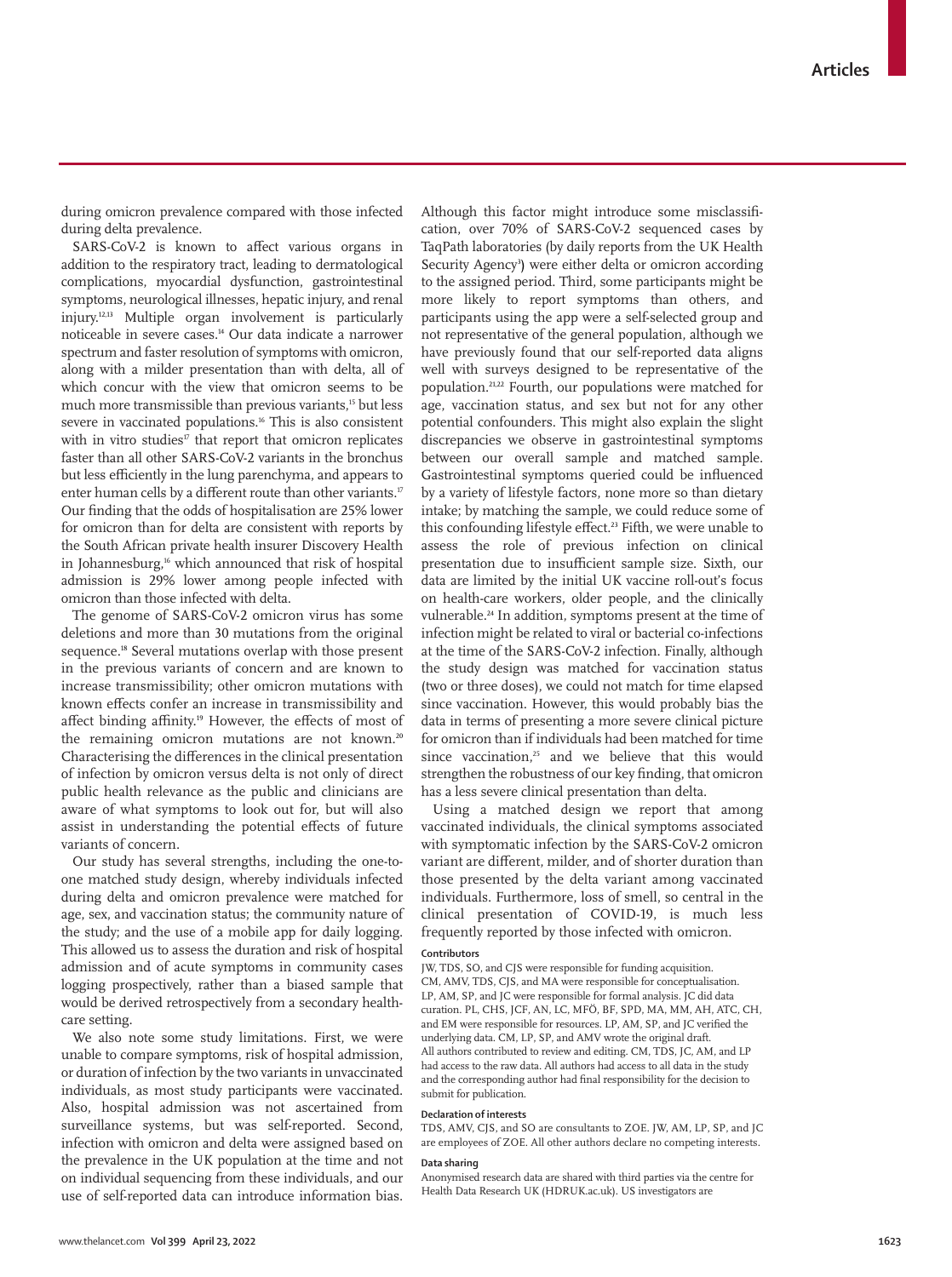during omicron prevalence compared with those infected during delta prevalence.

SARS-CoV-2 is known to affect various organs in addition to the respiratory tract, leading to dermatological complications, myocardial dysfunction, gastrointestinal symptoms, neurological illnesses, hepatic injury, and renal injury.12,13 Multiple organ involvement is particularly noticeable in severe cases.14 Our data indicate a narrower spectrum and faster resolution of symptoms with omicron, along with a milder presentation than with delta, all of which concur with the view that omicron seems to be much more transmissible than previous variants.<sup>15</sup> but less severe in vaccinated populations.<sup>16</sup> This is also consistent with in vitro studies $\mathbf{F}$  that report that omicron replicates faster than all other SARS-CoV-2 variants in the bronchus but less efficiently in the lung parenchyma, and appears to enter human cells by a different route than other variants.<sup>17</sup> Our finding that the odds of hospitalisation are 25% lower for omicron than for delta are consistent with reports by the South African private health insurer Discovery Health in Johannesburg,<sup>16</sup> which announced that risk of hospital admission is 29% lower among people infected with omicron than those infected with delta.

The genome of SARS-CoV-2 omicron virus has some deletions and more than 30 mutations from the original sequence.<sup>18</sup> Several mutations overlap with those present in the previous variants of concern and are known to increase transmissibility; other omicron mutations with known effects confer an increase in transmissibility and affect binding affinity.<sup>19</sup> However, the effects of most of the remaining omicron mutations are not known.<sup>20</sup> Characterising the differences in the clinical presentation of infection by omicron versus delta is not only of direct public health relevance as the public and clinicians are aware of what symptoms to look out for, but will also assist in understanding the potential effects of future variants of concern.

Our study has several strengths, including the one-toone matched study design, whereby individuals infected during delta and omicron prevalence were matched for age, sex, and vaccination status; the community nature of the study; and the use of a mobile app for daily logging. This allowed us to assess the duration and risk of hospital admission and of acute symptoms in community cases logging prospectively, rather than a biased sample that would be derived retrospectively from a secondary healthcare setting.

We also note some study limitations. First, we were unable to compare symptoms, risk of hospital admission, or duration of infection by the two variants in unvaccinated individuals, as most study participants were vaccinated. Also, hospital admission was not ascertained from surveillance systems, but was self-reported. Second, infection with omicron and delta were assigned based on the prevalence in the UK population at the time and not on individual sequencing from these individuals, and our use of self-reported data can introduce information bias.

Although this factor might introduce some misclassification, over 70% of SARS-CoV-2 sequenced cases by TaqPath laboratories (by daily reports from the UK Health Security Agency<sup>3</sup>) were either delta or omicron according to the assigned period. Third, some participants might be more likely to report symptoms than others, and participants using the app were a self-selected group and not representative of the general population, although we have previously found that our self-reported data aligns well with surveys designed to be representative of the population.21,22 Fourth, our populations were matched for age, vaccination status, and sex but not for any other potential confounders. This might also explain the slight discrepancies we observe in gastrointestinal symptoms between our overall sample and matched sample. Gastrointestinal symptoms queried could be influenced by a variety of lifestyle factors, none more so than dietary intake; by matching the sample, we could reduce some of this confounding lifestyle effect.<sup>23</sup> Fifth, we were unable to assess the role of previous infection on clinical presentation due to insufficient sample size. Sixth, our data are limited by the initial UK vaccine roll-out's focus on health-care workers, older people, and the clinically vulnerable.<sup>24</sup> In addition, symptoms present at the time of infection might be related to viral or bacterial co-infections at the time of the SARS-CoV-2 infection. Finally, although the study design was matched for vaccination status (two or three doses), we could not match for time elapsed since vaccination. However, this would probably bias the data in terms of presenting a more severe clinical picture for omicron than if individuals had been matched for time since vaccination, $25$  and we believe that this would strengthen the robustness of our key finding, that omicron has a less severe clinical presentation than delta.

Using a matched design we report that among vaccinated individuals, the clinical symptoms associated with symptomatic infection by the SARS-CoV-2 omicron variant are different, milder, and of shorter duration than those presented by the delta variant among vaccinated individuals. Furthermore, loss of smell, so central in the clinical presentation of COVID-19, is much less frequently reported by those infected with omicron.

#### **Contributors**

JW, TDS, SO, and CJS were responsible for funding acquisition. CM, AMV, TDS, CJS, and MA were responsible for conceptualisation. LP, AM, SP, and IC were responsible for formal analysis. IC did data curation. PL, CHS, JCF, AN, LC, MFÖ, BF, SPD, MA, MM, AH, ATC, CH, and EM were responsible for resources. LP, AM, SP, and JC verified the underlying data. CM, LP, SP, and AMV wrote the original draft. All authors contributed to review and editing. CM, TDS, JC, AM, and LP had access to the raw data. All authors had access to all data in the study and the corresponding author had final responsibility for the decision to submit for publication.

#### **Declaration of interests**

TDS, AMV, CJS, and SO are consultants to ZOE. JW, AM, LP, SP, and JC are employees of ZOE. All other authors declare no competing interests.

#### **Data sharing**

Anonymised research data are shared with third parties via the centre for Health Data Research UK (HDRUK.ac.uk). US investigators are